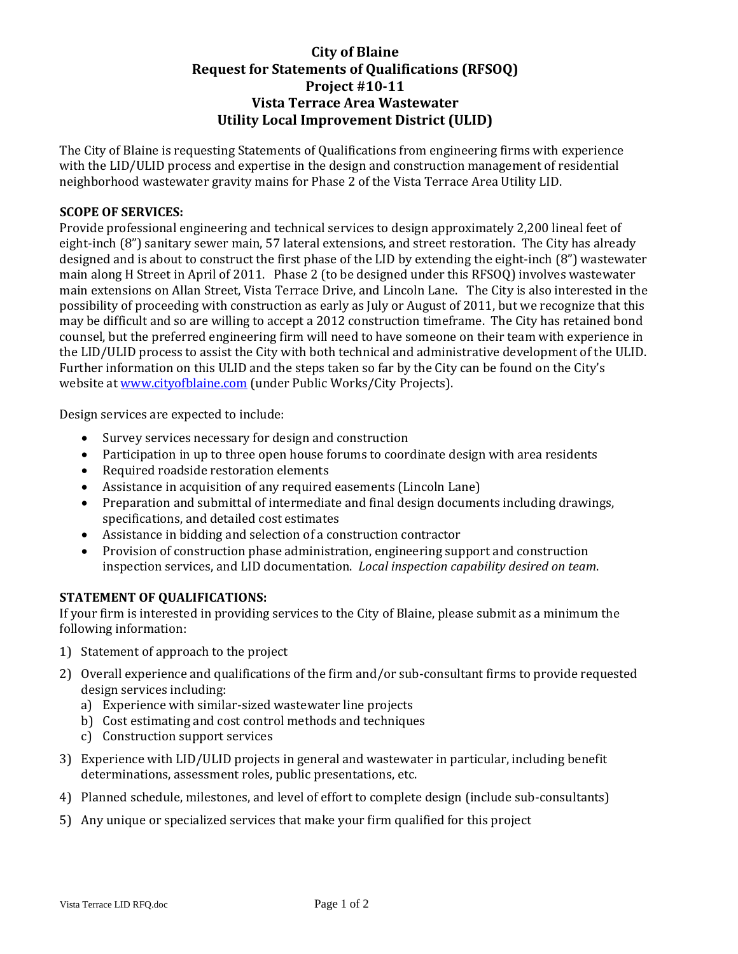# **City of Blaine Request for Statements of Qualifications (RFSOQ) Project #10‐11 Vista Terrace Area Wastewater Utility Local Improvement District (ULID)**

The City of Blaine is requesting Statements of Qualifications from engineering firms with experience with the LID/ULID process and expertise in the design and construction management of residential neighborhood wastewater gravity mains for Phase 2 of the Vista Terrace Area Utility LID.

## **SCOPE OF SERVICES:**

Provide professional engineering and technical services to design approximately 2,200 lineal feet of eight-inch (8") sanitary sewer main, 57 lateral extensions, and street restoration. The City has already designed and is about to construct the first phase of the LID by extending the eight‐inch (8") wastewater main along H Street in April of 2011. Phase 2 (to be designed under this RFSOQ) involves wastewater main extensions on Allan Street, Vista Terrace Drive, and Lincoln Lane. The City is also interested in the possibility of proceeding with construction as early as July or August of 2011, but we recognize that this may be difficult and so are willing to accept a 2012 construction timeframe. The City has retained bond counsel, but the preferred engineering firm will need to have someone on their team with experience in the LID/ULID process to assist the City with both technical and administrative development of the ULID. Further information on this ULID and the steps taken so far by the City can be found on the City's website at www.cityofblaine.com (under Public Works/City Projects).

Design services are expected to include:

- Survey services necessary for design and construction
- Participation in up to three open house forums to coordinate design with area residents
- Required roadside restoration elements
- Assistance in acquisition of any required easements (Lincoln Lane)
- Preparation and submittal of intermediate and final design documents including drawings, specifications, and detailed cost estimates
- Assistance in bidding and selection of a construction contractor
- Provision of construction phase administration, engineering support and construction inspection services, and LID documentation. *Local inspection capability desired on team*.

# **STATEMENT OF QUALIFICATIONS:**

If your firm is interested in providing services to the City of Blaine, please submit as a minimum the following information:

- 1) Statement of approach to the project
- 2) Overall experience and qualifications of the firm and/or sub-consultant firms to provide requested design services including:
	- a) Experience with similar‐sized wastewater line projects
	- b) Cost estimating and cost control methods and techniques
	- c) Construction support services
- 3) Experience with LID/ULID projects in general and wastewater in particular, including benefit determinations, assessment roles, public presentations, etc.
- 4) Planned schedule, milestones, and level of effort to complete design (include sub-consultants)
- 5) Any unique or specialized services that make your firm qualified for this project